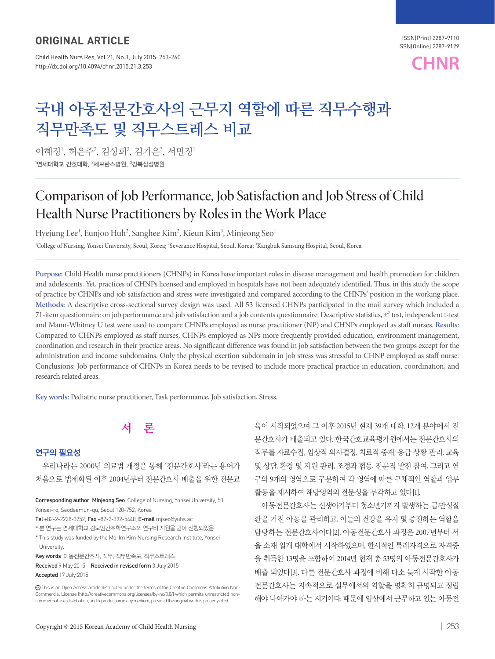### ORIGINAL ARTICLE

Child Health Nurs Res, Vol.21, No.3, July 2015: 253-260 http://dx.doi.org/10.4094/chnr.2015.21.3.253



# **국내 아동전문간호사의 근무지 역할에 따른 직무수행과 직무만족도 및 직무스트레스 비교**

이혜정', 허은주², 김상희², 김기은¾, 서민정'  $^{\rm 1}$ 연세대학교 간호대학,  $^{\rm 2}$ 세브란스병원,  $^{\rm 3}$ 강북삼성병원

## Comparison of Job Performance, Job Satisfaction and Job Stress of Child Health Nurse Practitioners by Roles in the Work Place

Hyejung Lee<sup>1</sup>, Eunjoo Huh<sup>2</sup>, Sanghee Kim<sup>2</sup>, Kieun Kim<sup>3</sup>, Minjeong Seo<sup>1</sup>

<sup>1</sup>College of Nursing, Yonsei University, Seoul, Korea; <sup>2</sup>Severance Hospital, Seoul, Korea; <sup>3</sup>Kangbuk Samsung Hospital, Seoul, Korea

**Purpose:** Child Health nurse practitioners (CHNPs) in Korea have important roles in disease management and health promotion for children and adolescents. Yet, practices of CHNPs licensed and employed in hospitals have not been adequately identified. Thus, in this study the scope of practice by CHNPs and job satisfaction and stress were investigated and compared according to the CHNPs' position in the working place. **Methods:** A descriptive cross-sectional survey design was used. All 53 licensed CHNPs participated in the mail survey which included a 71-item questionnaire on job performance and job satisfaction and a job contents questionnaire. Descriptive statistics,  $x^2$  test, independent t-test and Mann-Whitney U test were used to compare CHNPs employed as nurse practitioner (NP) and CHNPs employed as staff nurses. **Results:** Compared to CHNPs employed as staff nurses, CHNPs employed as NPs more frequently provided education, environment management, coordination and research in their practice areas. No significant difference was found in job satisfaction between the two groups except for the administration and income subdomains. Only the physical exertion subdomain in job stress was stressful to CHNP employed as staff nurse. Conclusions: Job performance of CHNPs in Korea needs to be revised to include more practical practice in education, coordination, and research related areas.

**Key words:** Pediatric nurse practitioner, Task performance, Job satisfaction, Stress.



### 연구의 필요성

우리나라는 2000년 의료법 개정을 통해 '전문간호사'라는 용어가 처음으로 법제화된 이후 2004년부터 전문간호사 배출을 위한 전문교

Corresponding author Minjeong Seo College of Nursing, Yonsei University, 50 Yonsei-ro, Seodaemun-gu, Seoul 120-752, Korea

Tel +82-2-2228-3252, Fax +82-2-392-5440, E-mail mjseo@yuhs.ac

\* 본 연구는 연세대학교 김모임간호학연구소의 연구비 지원을 받아 진행되었음.

\* This study was funded by the Mo-Im Kim Nursing Research Institute, Yonsei University.

Key words 아동전문간호사, 직무, 직무만족도, 직무스트레스

Received 9 May 2015 Received in revised form 3 July 2015 Accepted 17 July 2015

Copyright © 2015 Korean Academy of Child Health Nursing | 253

육이 시작되었으며 그 이후 2015년 현재 39개 대학, 12개 분야에서 전 문간호사가 배출되고 있다. 한국간호교육평가원에서는 전문간호사의 직무를 자료수집, 임상적 의사결정, 치료적 중재, 응급 상황 관리, 교육 및 상담, 환경 및 자원 관리, 조정과 협동, 전문직 발전 참여, 그리고 연 구의 9개의 영역으로 구분하여 각 영역에 따른 구체적인 역할과 업무 활동을 제시하여 해당영역의 전문성을 부각하고 있다[1].

아동전문간호사는 신생아기부터 청소년기까지 발생하는 급·만성질 환을 가진 아동을 관리하고, 이들의 건강을 유지 및 증진하는 역할을 담당하는 전문간호사이다[2]. 아동전문간호사 과정은 2007년부터 서 울 소재 일개 대학에서 시작하였으며, 한시적인 특례자격으로 자격증 을 취득한 13명을 포함하여 2014년 현재 총 53명의 아동전문간호사가 배출 되었다[3]. 다른 전문간호사 과정에 비해 다소 늦게 시작한 아동 전문간호사는 지속적으로 실무에서의 역할을 명확히 규명되고 정립 해야 나아가야 하는 시기이다. 때문에 임상에서 근무하고 있는 아동전

This is an Open Access article distributed under the terms of the Creative Commons Attribution Non-Commercial License (http://creativecommons.org/licenses/by-nc/3.0/) which permits unrestricted noncommercial use, distribution, and reproduction in any medium, provided the original work is properly cited.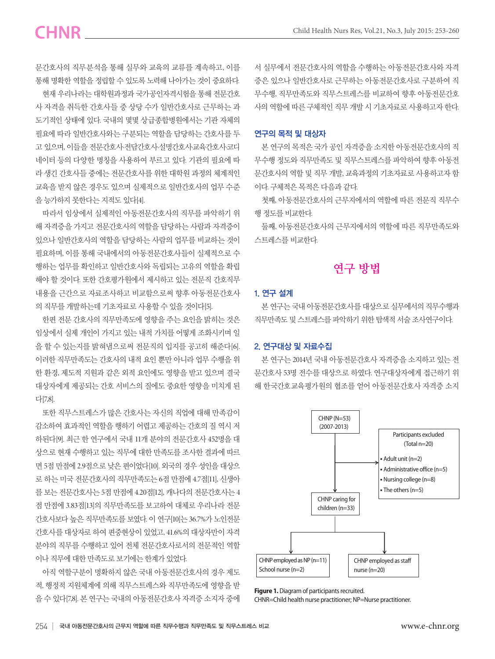문간호사의 직무분석을 통해 실무와 교육의 교류를 계속하고, 이를 통해 명확한 역할을 정립할 수 있도록 노력해 나아가는 것이 중요하다.

현재 우리나라는 대학원과정과 국가공인자격시험을 통해 전문간호 사 자격을 취득한 간호사들 중 상당 수가 일반간호사로 근무하는 과 도기적인 상태에 있다. 국내의 몇몇 상급종합병원에서는 기관 자체의 필요에 따라 일반간호사와는 구분되는 역할을 담당하는 간호사를 두 고 있으며, 이들을 전문간호사·전담간호사·설명간호사·교육간호사·코디 네이터 등의 다양한 명칭을 사용하여 부르고 있다. 기관의 필요에 따 라 생긴 간호사들 중에는 전문간호사를 위한 대학원 과정의 체계적인 교육을 받지 않은 경우도 있으며 실제적으로 일반간호사의 업무 수준 을 능가하지 못한다는 지적도 있다[4].

따라서 임상에서 실제적인 아동전문간호사의 직무를 파악하기 위 해 자격증을 가지고 전문간호사의 역할을 담당하는 사람과 자격증이 있으나 일반간호사의 역할을 담당하는 사람의 업무를 비교하는 것이 필요하며, 이를 통해 국내에서의 아동전문간호사들이 실제적으로 수 행하는 업무를 확인하고 일반간호사와 독립되는 고유의 역할을 확립 해야 할 것이다. 또한 간호평가원에서 제시하고 있는 전문직 간호직무 내용을 근간으로 자료조사하고 비교함으로써 향후 아동전문간호사 의 직무를 개발하는데 기초자료로 사용할 수 있을 것이다[5].

한편 전문 간호사의 직무만족도에 영향을 주는 요인을 밝히는 것은 임상에서 실제 개인이 가지고 있는 내적 가치를 어떻게 조화시키며 일 을 할 수 있는지를 밝혀냄으로써 전문직의 입지를 공고히 해준다[6]. 이러한 직무만족도는 간호사의 내적 요인 뿐만 아니라 업무 수행을 위 한 환경, 제도적 지원과 같은 외적 요인에도 영향을 받고 있으며 결국 대상자에게 제공되는 간호 서비스의 질에도 중요한 영향을 미치게 된 다[7,8].

또한 직무스트레스가 많은 간호사는 자신의 직업에 대해 만족감이 감소하여 효과적인 역할을 행하기 어렵고 제공하는 간호의 질 역시 저 하된다[9]. 최근 한 연구에서 국내 11개 분야의 전문간호사 452명을 대 상으로 현재 수행하고 있는 직무에 대한 만족도를 조사한 결과에 따르 면 5점 만점에 2.9점으로 낮은 편이었다[10]. 외국의 경우 성인을 대상으 로 하는 미국 전문간호사의 직무만족도는 6점 만점에 4.7점[11], 신생아 를 보는 전문간호사는 5점 만점에 4.20점[12], 캐나다의 전문간호사는 4 점 만점에 3.83점[13]의 직무만족도를 보고하여 대체로 우리나라 전문 간호사보다 높은 직무만족도를 보였다. 이 연구[10]는 36.7%가 노인전문 간호사를 대상자로 하여 편중현상이 있었고, 41.6%의 대상자만이 자격 분야의 직무를 수행하고 있어 전체 전문간호사로서의 전문적인 역할 이나 직무에 대한 만족도로 보기에는 한계가 있었다.

아직 역할구분이 명확하지 않은 국내 아동전문간호사의 경우 제도 적, 행정적 지원체계에 의해 직무스트레스와 직무만족도에 영향을 받 을 수 있다[7,8]. 본 연구는 국내의 아동전문간호사 자격증 소지자 중에 서 실무에서 전문간호사의 역할을 수행하는 아동전문간호사와 자격 증은 있으나 일반간호사로 근무하는 아동전문간호사로 구분하여 직 무수행, 직무만족도와 직무스트레스를 비교하여 향후 아동전문간호 사의 역할에 따른 구체적인 직무 개발 시 기초자료로 사용하고자 한다.

#### 연구의 목적 및 대상자

본 연구의 목적은 국가 공인 자격증을 소지한 아동전문간호사의 직 무수행 정도와 직무만족도 및 직무스트레스를 파악하여 향후 아동전 문간호사의 역할 및 직무 개발, 교육과정의 기초자료로 사용하고자 함 이다. 구체적은 목적은 다음과 같다.

첫째, 아동전문간호사의 근무지에서의 역할에 따른 전문직 직무수 행 정도를 비교한다.

둘째, 아동전문간호사의 근무지에서의 역할에 따른 직무만족도와 스트레스를 비교한다.

### **연구 방법**

### 1. 연구 설계

본 연구는 국내 아동전문간호사를 대상으로 실무에서의 직무수행과 직무만족도 및 스트레스를 파악하기 위한 탐색적 서술 조사연구이다.

#### 2. 연구대상 및 자료수집

본 연구는 2014년 국내 아동전문간호사 자격증을 소지하고 있는 전 문간호사 53명 전수를 대상으로 하였다. 연구대상자에게 접근하기 위 해 한국간호교육평가원의 협조를 얻어 아동전문간호사 자격증 소지



**Figure 1.** Diagram of participants recruited. CHNR=Child health nurse practitioner; NP=Nurse practitioner.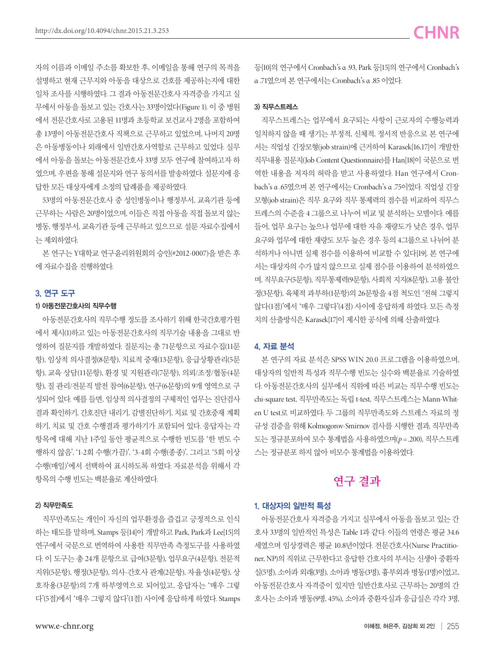자의 이름과 이메일 주소를 확보한 후, 이메일을 통해 연구의 목적을 설명하고 현재 근무지와 아동을 대상으로 간호를 제공하는지에 대한 일차 조사를 시행하였다. 그 결과 아동전문간호사 자격증을 가지고 실 무에서 아동을 돌보고 있는 간호사는 33명이었다(Figure 1). 이 중 병원 에서 전문간호사로 고용된 11명과 초등학교 보건교사 2명을 포함하여 총 13명이 아동전문간호사 직책으로 근무하고 있었으며, 나머지 20명 은 아동병동이나 외래에서 일반간호사역할로 근무하고 있었다. 실무 에서 아동을 돌보는 아동전문간호사 33명 모두 연구에 참여하고자 하 였으며, 우편을 통해 설문지와 연구 동의서를 발송하였다. 설문지에 응 답한 모든 대상자에게 소정의 답례품을 제공하였다.

53명의 아동전문간호사 중 성인병동이나 행정부서, 교육기관 등에 근무하는 사람은 20명이었으며, 이들은 직접 아동을 직접 돌보지 않는 병동, 행정부서, 교육기관 등에 근무하고 있으므로 설문 자료수집에서 는 제외하였다.

본 연구는 Y대학교 연구윤리위원회의 승인(#2012-0007)을 받은 후 에 자료수집을 진행하였다.

### 3. 연구 도구

#### 1) 아동전문간호사의 직무수행

아동전문간호사의 직무수행 정도를 조사하기 위해 한국간호평가원 에서 제시(1)하고 있는 아동전문간호사의 직무기술 내용을 그대로 반 영하여 질문지를 개발하였다. 질문지는 총 71문항으로 자료수집(11문 항), 임상적 의사결정(8문항), 치료적 중재(13문항), 응급상황관리(5문 항), 교육 상담(11문항), 환경 및 지원관리(7문항), 의뢰/조정/협동(4문 항), 질 관리/전문직 발전 참여(6문항), 연구(6문항)의 9개 영역으로 구 성되어 있다. 예를 들면, 임상적 의사결정의 구체적인 업무는 진단검사 결과 확인하기, 간호진단 내리기, 감별진단하기, 치료 및 간호중재 계획 하기, 치료 및 간호 수행결과 평가하기가 포함되어 있다. 응답자는 각 항목에 대해 지난 1주일 동안 평균적으로 수행한 빈도를 '한 번도 수 행하지 않음', '1-2회 수행(가끔)', '3-4회 수행(종종)', 그리고 '5회 이상 수행(매일)'에서 선택하여 표시하도록 하였다. 자료분석을 위해서 각 항목의 수행 빈도는 백분율로 계산하였다.

#### 2) 직무만족도

직무만족도는 개인이 자신의 업무환경을 즐겁고 긍정적으로 인식 하는 태도를 말하며, Stamps 등[14]이 개발하고 Park, Park과 Lee[15]의 연구에서 국문으로 번역하여 사용한 직무만족 측정도구를 사용하였 다. 이 도구는 총 24개 문항으로 급여(3문항), 업무요구(4문항), 전문적 지위(5문항), 행정(3문항), 의사-간호사 관계(2문항), 자율성(4문항), 상 호작용(3문항)의 7개 하부영역으로 되어있고, 응답자는 '매우 그렇 다'(5점)에서 '매우 그렇지 않다'(1점) 사이에 응답하게 하였다. Stamps 등[10]의 연구에서 Cronbach's α .93, Park 등[15]의 연구에서 Cronbach's α .71였으며 본 연구에서는 Cronbach's α .85 이었다.

#### 3) 직무스트레스

직무스트레스는 업무에서 요구되는 사항이 근로자의 수행능력과 일치하지 않을 때 생기는 부정적, 신체적, 정서적 반응으로 본 연구에 서는 직업성 긴장모형(job strain)에 근거하여 Karasek[16,17]이 개발한 직무내용 질문지(Job Content Questionnaire)를 Han[18]이 국문으로 번 역한 내용을 저자의 허락을 받고 사용하였다. Han 연구에서 Cronbach's α .65였으며 본 연구에서는 Cronbach's α .75이었다. 직업성 긴장 모형(job strain)은 직무 요구와 직무 통제력의 점수를 비교하여 직무스 트레스의 수준을 4 그룹으로 나누어 비교 및 분석하는 모델이다. 예를 들어, 업무 요구는 높으나 업무에 대한 자유 재량도가 낮은 경우, 업무 요구와 업무에 대한 재량도 모두 높은 경우 등의 4그룹으로 나뉘어 분 석하거나 아니면 실제 점수를 이용하여 비교할 수 있다[19]. 본 연구에 서는 대상자의 수가 많지 않으므로 실제 점수를 이용하여 분석하였으 며, 직무요구(5문항), 직무통제력(9문항), 사회적 지지(8문항), 고용 불안 정(3문항), 육체적 과부하(1문항)의 26문항을 4점 척도인 '전혀 그렇지 않다(1점)'에서 '매우 그렇다'(4점) 사이에 응답하게 하였다. 모든 측정 치의 산출방식은 Karasek[17]이 제시한 공식에 의해 산출하였다.

### 4. 자료 분석

본 연구의 자료 분석은 SPSS WIN 20.0 프로그램을 이용하였으며, 대상자의 일반적 특성과 직무수행 빈도는 실수와 백분율로 기술하였 다. 아동전문간호사의 실무에서 직위에 따른 비교는 직무수행 빈도는 chi-square test, 직무만족도는 독립 t-test, 직무스트레스는 Mann-Whiten U test로 비교하였다. 두 그룹의 직무만족도와 스트레스 자료의 정 규성 검증을 위해 Kolmogorov-Smirnov 검사를 시행한 결과, 직무만족 도는 정규분포하여 모수 통계법을 사용하였으며(*p* =.200), 직무스트레 스는 정규분포 하지 않아 비모수 통계법을 이용하였다.

### **연구 결과**

### 1. 대상자의 일반적 특성

아동전문간호사 자격증을 가지고 실무에서 아동을 돌보고 있는 간 호사 33명의 일반적인 특성은 Table 1과 같다. 이들의 연령은 평균 34.6 세였으며 임상경력은 평균 10.8년이었다. 전문간호사(Nurse Practitioner, NP)의 직위로 근무한다고 응답한 간호사의 부서는 신생아 중환자 실(5명), 소아과 외래(3명), 소아과 병동(3명), 흉부외과 병동(1명)이었고, 아동전문간호사 자격증이 있지만 일반간호사로 근무하는 20명의 간 호사는 소아과 병동(9명, 45%), 소아과 중환자실과 응급실은 각각 3명,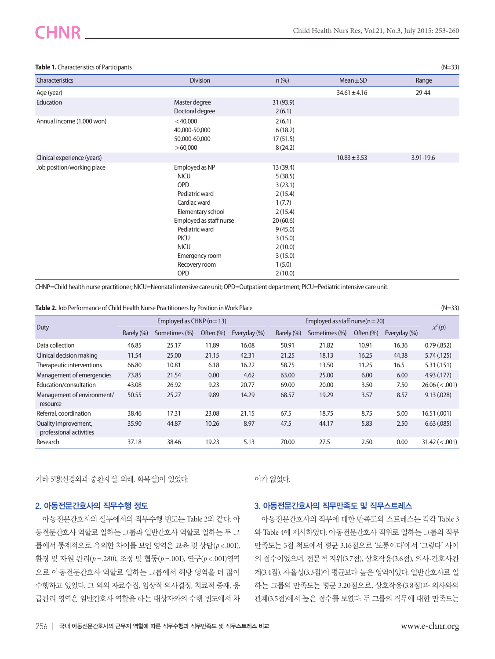| Table 1. Characteristics of Participants |                                                                                                                                                                                                                  |                                                                                                                                              |                  | $(N=33)$  |
|------------------------------------------|------------------------------------------------------------------------------------------------------------------------------------------------------------------------------------------------------------------|----------------------------------------------------------------------------------------------------------------------------------------------|------------------|-----------|
| Characteristics                          | <b>Division</b>                                                                                                                                                                                                  | $n$ (%)                                                                                                                                      | $Mean \pm SD$    | Range     |
| Age (year)                               |                                                                                                                                                                                                                  |                                                                                                                                              | $34.61 \pm 4.16$ | 29-44     |
| Education                                | Master degree<br>Doctoral degree                                                                                                                                                                                 | 31 (93.9)<br>2(6.1)                                                                                                                          |                  |           |
| Annual income (1,000 won)                | $<$ 40,000<br>40,000-50,000<br>50,000-60,000<br>>60,000                                                                                                                                                          | 2(6.1)<br>6(18.2)<br>17(51.5)<br>8(24.2)                                                                                                     |                  |           |
| Clinical experience (years)              |                                                                                                                                                                                                                  |                                                                                                                                              | $10.83 \pm 3.53$ | 3.91-19.6 |
| Job position/working place               | Employed as NP<br><b>NICU</b><br>OPD<br>Pediatric ward<br>Cardiac ward<br>Elementary school<br>Employed as staff nurse<br>Pediatric ward<br><b>PICU</b><br><b>NICU</b><br>Emergency room<br>Recovery room<br>OPD | 13 (39.4)<br>5(38.5)<br>3(23.1)<br>2(15.4)<br>1(7.7)<br>2(15.4)<br>20(60.6)<br>9(45.0)<br>3(15.0)<br>2(10.0)<br>3(15.0)<br>1(5.0)<br>2(10.0) |                  |           |

CHNP=Child health nurse practitioner; NICU=Neonatal intensive care unit; OPD=Outpatient department; PICU=Pediatric intensive care unit.

| Table 2. Job Performance of Child Health Nurse Practitioners by Position in Work Place | $(N=33)$ |
|----------------------------------------------------------------------------------------|----------|
|----------------------------------------------------------------------------------------|----------|

| Duty                                            | Employed as CHNP $(n=13)$ |               |           | Employed as staff nurse( $n = 20$ ) |            |               | $x^2(p)$  |              |                    |
|-------------------------------------------------|---------------------------|---------------|-----------|-------------------------------------|------------|---------------|-----------|--------------|--------------------|
|                                                 | Rarely (%)                | Sometimes (%) | Often (%) | Everyday (%)                        | Rarely (%) | Sometimes (%) | Often (%) | Everyday (%) |                    |
| Data collection                                 | 46.85                     | 25.17         | 11.89     | 16.08                               | 50.91      | 21.82         | 10.91     | 16.36        | 0.79(.852)         |
| Clinical decision making                        | 11.54                     | 25.00         | 21.15     | 42.31                               | 21.25      | 18.13         | 16.25     | 44.38        | 5.74(0.125)        |
| Therapeutic interventions                       | 66.80                     | 10.81         | 6.18      | 16.22                               | 58.75      | 13.50         | 11.25     | 16.5         | 5.31(.151)         |
| Management of emergencies                       | 73.85                     | 21.54         | 0.00      | 4.62                                | 63.00      | 25.00         | 6.00      | 6.00         | 4.93(0.177)        |
| Education/consultation                          | 43.08                     | 26.92         | 9.23      | 20.77                               | 69.00      | 20.00         | 3.50      | 7.50         | $26.06 \,(< .001)$ |
| Management of environment/<br>resource          | 50.55                     | 25.27         | 9.89      | 14.29                               | 68.57      | 19.29         | 3.57      | 8.57         | 9.13(.028)         |
| Referral, coordination                          | 38.46                     | 17.31         | 23.08     | 21.15                               | 67.5       | 18.75         | 8.75      | 5.00         | 16.51 (.001)       |
| Quality improvement,<br>professional activities | 35.90                     | 44.87         | 10.26     | 8.97                                | 47.5       | 44.17         | 5.83      | 2.50         | 6.63(.085)         |
| Research                                        | 37.18                     | 38.46         | 19.23     | 5.13                                | 70.00      | 27.5          | 2.50      | 0.00         | 31.42 (< .001)     |

기타 5명(신경외과 중환자실, 외래, 회복실)이 있었다.

이가 없었다.

#### 2. 아동전문간호사의 직무수행 정도

아동전문간호사의 실무에서의 직무수행 빈도는 Table 2와 같다. 아 동전문간호사 역할로 일하는 그룹과 일반간호사 역할로 일하는 두 그 룹에서 통계적으로 유의한 차이를 보인 영역은 교육 및 상담(*p* < .001), 환경 및 자원 관리(*p* =.280), 조정 및 협동(*p* =.001), 연구(*p* < .001)영역 으로 아동전문간호사 역할로 일하는 그룹에서 해당 영역을 더 많이 수행하고 있었다. 그 외의 자료수집, 임상적 의사결정, 치료적 중재, 응 급관리 영역은 일반간호사 역할을 하는 대상자와의 수행 빈도에서 차

#### 3. 아동전문간호사의 직무만족도 및 직무스트레스

아동전문간호사의 직무에 대한 만족도와 스트레스는 각각 Table 3 와 Table 4에 제시하였다. 아동전문간호사 직위로 일하는 그룹의 직무 만족도는 5점 척도에서 평균 3.16점으로 '보통이다'에서 '그렇다' 사이 의 점수이었으며, 전문적 지위(3.7점), 상호작용(3.6점), 의사-간호사관 계(3.4점), 자율성(3.3점)이 평균보다 높은 영역이었다. 일반간호사로 일 하는 그룹의 만족도는 평균 3.20점으로, 상호작용(3.8점)과 의사와의 관계(3.5점)에서 높은 점수를 보였다. 두 그룹의 직무에 대한 만족도는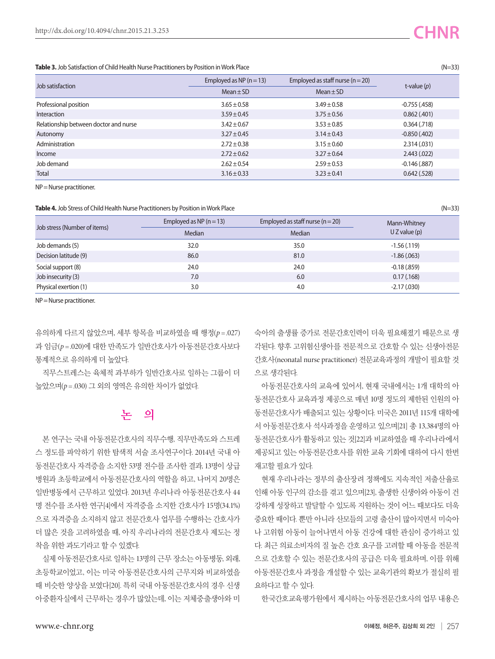#### **Table 3.** Job Satisfaction of Child Health Nurse Practitioners by Position in Work Place (N=33)

| Job satisfaction                      | Employed as NP $(n=13)$ | Employed as staff nurse ( $n = 20$ ) | t-value $(p)$   |  |
|---------------------------------------|-------------------------|--------------------------------------|-----------------|--|
|                                       | $Mean \pm SD$           | $Mean \pm SD$                        |                 |  |
| Professional position                 | $3.65 \pm 0.58$         | $3.49 \pm 0.58$                      | $-0.755$ (.458) |  |
| Interaction                           | $3.59 \pm 0.45$         | $3.75 \pm 0.56$                      | 0.862(.401)     |  |
| Relationship between doctor and nurse | $3.42 \pm 0.67$         | $3.53 \pm 0.85$                      | 0.364(0.718)    |  |
| Autonomy                              | $3.27 \pm 0.45$         | $3.14 \pm 0.43$                      | $-0.850(.402)$  |  |
| Administration                        | $2.72 \pm 0.38$         | $3.15 \pm 0.60$                      | 2.314(.031)     |  |
| Income                                | $2.72 \pm 0.62$         | $3.27 \pm 0.64$                      | 2.443(.022)     |  |
| Job demand                            | $2.62 \pm 0.54$         | $2.59 \pm 0.53$                      | $-0.146$ (.887) |  |
| Total                                 | $3.16 \pm 0.33$         | $3.23 \pm 0.41$                      | 0.642(.528)     |  |

NP = Nurse practitioner.

Table 4. Job Stress of Child Health Nurse Practitioners by Position in Work Place (N=33)

| Job stress (Number of items) | Employed as NP $(n=13)$ | Employed as staff nurse ( $n = 20$ ) | Mann-Whitney   |  |
|------------------------------|-------------------------|--------------------------------------|----------------|--|
|                              | <b>Median</b>           | Median                               | $UZ$ value (p) |  |
| Job demands (5)              | 32.0                    | 35.0                                 | $-1.56(0.119)$ |  |
| Decision latitude (9)        | 86.0                    | 81.0                                 | $-1.86(.063)$  |  |
| Social support (8)           | 24.0                    | 24.0                                 | $-0.18(.859)$  |  |
| Job insecurity (3)           | 7.0                     | 6.0                                  | 0.17(0.168)    |  |
| Physical exertion (1)        | 3.0                     | 4.0                                  | $-2.17(0.030)$ |  |

NP = Nurse practitioner.

유의하게 다르지 않았으며, 세부 항목을 비교하였을 때 행정(*p* =.027) 과 임금(*p* =.020)에 대한 만족도가 일반간호사가 아동전문간호사보다 통계적으로 유의하게 더 높았다.

직무스트레스는 육체적 과부하가 일반간호사로 일하는 그룹이 더 높았으며(*p* =.030) 그 외의 영역은 유의한 차이가 없었다.

### **논 의**

본 연구는 국내 아동전문간호사의 직무수행, 직무만족도와 스트레 스 정도를 파악하기 위한 탐색적 서술 조사연구이다. 2014년 국내 아 동전문간호사 자격증을 소지한 53명 전수를 조사한 결과, 13명이 상급 병원과 초등학교에서 아동전문간호사의 역할을 하고, 나머지 20명은 일반병동에서 근무하고 있었다. 2013년 우리나라 아동전문간호사 44 명 전수를 조사한 연구[4]에서 자격증을 소지한 간호사가 15명(34.1%) 으로 자격증을 소지하지 않고 전문간호사 업무를 수행하는 간호사가 더 많은 것을 고려하였을 때, 아직 우리나라의 전문간호사 제도는 정 착을 위한 과도기라고 할 수 있겠다.

실제 아동전문간호사로 일하는 13명의 근무 장소는 아동병동, 외래, 초등학교이었고, 이는 미국 아동전문간호사의 근무지와 비교하였을 때 비슷한 양상을 보였다[20]. 특히 국내 아동전문간호사의 경우 신생 아중환자실에서 근무하는 경우가 많았는데, 이는 저체중출생아와 미

숙아의 출생률 증가로 전문간호인력이 더욱 필요해졌기 때문으로 생 각된다. 향후 고위험신생아를 전문적으로 간호할 수 있는 신생아전문 간호사(neonatal nurse practitioner) 전문교육과정의 개발이 필요할 것 으로 생각된다.

아동전문간호사의 교육에 있어서, 현재 국내에서는 1개 대학의 아 동전문간호사 교육과정 제공으로 매년 10명 정도의 제한된 인원의 아 동전문간호사가 배출되고 있는 상황이다. 미국은 2011년 115개 대학에 서 아동전문간호사 석사과정을 운영하고 있으며[21] 총 13,384명의 아 동전문간호사가 활동하고 있는 것[22]과 비교하였을 때 우리나라에서 제공되고 있는 아동전문간호사를 위한 교육 기회에 대하여 다시 한번 재고할 필요가 있다.

현재 우리나라는 정부의 출산장려 정책에도 지속적인 저출산율로 인해 아동 인구의 감소를 겪고 있으며[23], 출생한 신생아와 아동이 건 강하게 성장하고 발달할 수 있도록 지원하는 것이 어느 때보다도 더욱 중요한 때이다. 뿐만 아니라 산모들의 고령 출산이 많아지면서 미숙아 나 고위험 아동이 늘어나면서 아동 건강에 대한 관심이 증가하고 있 다. 최근 의료소비자의 질 높은 간호 요구를 고려할 때 아동을 전문적 으로 간호할 수 있는 전문간호사의 공급은 더욱 필요하며, 이를 위해 아동전문간호사 과정을 개설할 수 있는 교육기관의 확보가 절실히 필 요하다고 할 수 있다.

한국간호교육평가원에서 제시하는 아동전문간호사의 업무 내용은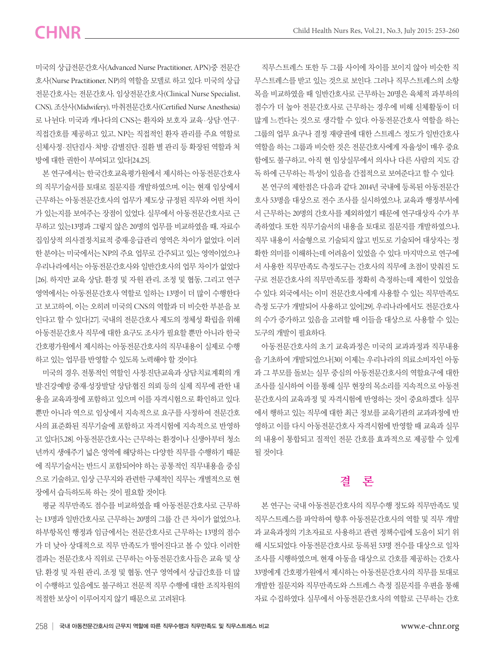# CHNR \_\_\_\_

미국의 상급전문간호사(Advanced Nurse Practitioner, APN)중 전문간 호사(Nurse Practitioner, NP)의 역할을 모델로 하고 있다. 미국의 상급 전문간호사는 전문간호사, 임상전문간호사(Clinical Nurse Specialist, CNS), 조산사(Midwifery), 마취전문간호사(Certified Nurse Anesthesia) 로 나뉜다. 미국과 캐나다의 CNS는 환자와 보호자 교육·상담·연구· 직접간호를 제공하고 있고, NP는 직접적인 환자 관리를 주요 역할로 신체사정·진단검사·처방·감별진단·질환 별 관리 등 확장된 역할과 처 방에 대한 권한이 부여되고 있다[24,25].

본 연구에서는 한국간호교육평가원에서 제시하는 아동전문간호사 의 직무기술서를 토대로 질문지를 개발하였으며, 이는 현재 임상에서 근무하는 아동전문간호사의 업무가 제도상 규정된 직무와 어떤 차이 가 있는지를 보여주는 장점이 있었다. 실무에서 아동전문간호사로 근 무하고 있는13명과 그렇지 않은 20명의 업무를 비교하였을 때, 자료수 집·임상적 의사결정·치료적 중재·응급관리 영역은 차이가 없었다. 이러 한 분야는 미국에서는 NP의 주요 업무로 간주되고 있는 영역이었으나 우리나라에서는 아동전문간호사와 일반간호사의 업무 차이가 없었다 [26]. 하지만 교육 상담, 환경 및 자원 관리, 조정 및 협동, 그리고 연구 영역에서는 아동전문간호사 역할로 일하는 13명이 더 많이 수행한다 고 보고하여, 이는 오히려 미국의 CNS의 역할과 더 비슷한 부분을 보 인다고 할 수 있다[27]. 국내의 전문간호사 제도의 정체성 확립을 위해 아동전문간호사 직무에 대한 요구도 조사가 필요할 뿐만 아니라 한국 간호평가원에서 제시하는 아동전문간호사의 직무내용이 실제로 수행 하고 있는 업무를 반영할 수 있도록 노력해야 할 것이다.

미국의 경우, 전통적인 역할인 사정·진단·교육과 상담·치료계획의 개 발·건강예방 중재·성장발달 상담·협진 의뢰 등의 실제 직무에 관한 내 용을 교육과정에 포함하고 있으며 이를 자격시험으로 확인하고 있다. 뿐만 아니라 역으로 임상에서 지속적으로 요구를 사정하여 전문간호 사의 표준화된 직무기술에 포함하고 자격시험에 지속적으로 반영하 고 있다[5,28]. 아동전문간호사는 근무하는 환경이나 신생아부터 청소 년까지 생애주기 넓은 영역에 해당하는 다양한 직무를 수행하기 때문 에 직무기술서는 반드시 포함되어야 하는 공통적인 직무내용을 중심 으로 기술하고, 임상 근무지와 관련한 구체적인 직무는 개별적으로 현 장에서 습득하도록 하는 것이 필요할 것이다.

평균 직무만족도 점수를 비교하였을 때 아동전문간호사로 근무하 는 13명과 일반간호사로 근무하는 20명의 그룹 간 큰 차이가 없었으나, 하부항목인 행정과 임금에서는 전문간호사로 근무하는 13명의 점수 가 더 낮아 상대적으로 직무 만족도가 떨어진다고 볼 수 있다. 이러한 결과는 전문간호사 직위로 근무하는 아동전문간호사들은 교육 및 상 담, 환경 및 자원 관리, 조정 및 협동, 연구 영역에서 상급간호를 더 많 이 수행하고 있음에도 불구하고 전문적 직무 수행에 대한 조직차원의 적절한 보상이 이루어지지 않기 때문으로 고려된다.

직무스트레스 또한 두 그룹 사이에 차이를 보이지 않아 비슷한 직 무스트레스를 받고 있는 것으로 보인다. 그러나 직무스트레스의 소항 목을 비교하였을 때 일반간호사로 근무하는 20명은 육체적 과부하의 점수가 더 높아 전문간호사로 근무하는 경우에 비해 신체활동이 더 많게 느낀다는 것으로 생각할 수 있다. 아동전문간호사 역할을 하는 그룹의 업무 요구나 결정 재량권에 대한 스트레스 정도가 일반간호사 역할을 하는 그룹과 비슷한 것은 전문간호사에게 자율성이 매우 중요 함에도 불구하고, 아직 현 임상실무에서 의사나 다른 사람의 지도 감 독 하에 근무하는 특성이 있음을 간접적으로 보여준다고 할 수 있다.

본 연구의 제한점은 다음과 같다. 2014년 국내에 등록된 아동전문간 호사 53명을 대상으로 전수 조사를 실시하였으나, 교육과 행정부서에 서 근무하는 20명의 간호사를 제외하였기 때문에 연구대상자 수가 부 족하였다. 또한 직무기술서의 내용을 토대로 질문지를 개발하였으나, 직무 내용이 서술형으로 기술되지 않고 빈도로 기술되어 대상자는 정 확한 의미를 이해하는데 어려움이 있었을 수 있다. 마지막으로 연구에 서 사용한 직무만족도 측정도구는 간호사의 직무에 초점이 맞춰진 도 구로 전문간호사의 직무만족도를 정확히 측정하는데 제한이 있었을 수 있다. 외국에서는 이미 전문간호사에게 사용할 수 있는 직무만족도 측정 도구가 개발되어 사용하고 있어[29], 우리나라에서도 전문간호사 의 수가 증가하고 있음을 고려할 때 이들을 대상으로 사용할 수 있는 도구의 개발이 필요하다.

아동전문간호사의 초기 교육과정은 미국의 교과과정과 직무내용 을 기초하여 개발되었으나[30] 이제는 우리나라의 의료소비자인 아동 과 그 부모를 돌보는 실무 중심의 아동전문간호사의 역할요구에 대한 조사를 실시하여 이를 통해 실무 현장의 목소리를 지속적으로 아동전 문간호사의 교육과정 및 자격시험에 반영하는 것이 중요하겠다. 실무 에서 행하고 있는 직무에 대한 최근 정보를 교육기관의 교과과정에 반 영하고 이를 다시 아동전문간호사 자격시험에 반영할 때 교육과 실무 의 내용이 통합되고 질적인 전문 간호를 효과적으로 제공할 수 있게 될 것이다.

### **결 론**

본 연구는 국내 아동전문간호사의 직무수행 정도와 직무만족도 및 직무스트레스를 파악하여 향후 아동전문간호사의 역할 및 직무 개발 과 교육과정의 기초자료로 사용하고 관련 정책수립에 도움이 되기 위 해 시도되었다. 아동전문간호사로 등록된 53명 전수를 대상으로 일차 조사를 시행하였으며, 현재 아동을 대상으로 간호를 제공하는 간호사 33명에게 간호평가원에서 제시하는 아동전문간호사의 직무를 토대로 개발한 질문지와 직무만족도와 스트레스 측정 질문지를 우편을 통해 자료 수집하였다. 실무에서 아동전문간호사의 역할로 근무하는 간호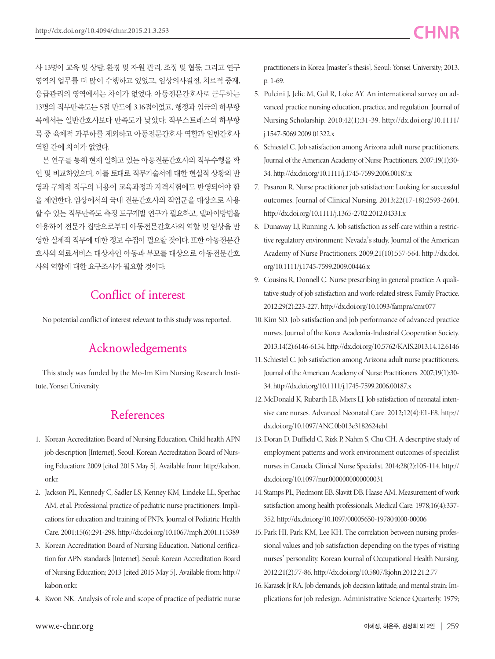사 13명이 교육 및 상담, 환경 및 자원 관리, 조정 및 협동, 그리고 연구 영역의 업무를 더 많이 수행하고 있었고, 임상의사결정, 치료적 중재, 응급관리의 영역에서는 차이가 없었다. 아동전문간호사로 근무하는 13명의 직무만족도는 5점 만도에 3.16점이었고, 행정과 임금의 하부항 목에서는 일반간호사보다 만족도가 낮았다. 직무스트레스의 하부항 목 중 육체적 과부하를 제외하고 아동전문간호사 역할과 일반간호사 역할 간에 차이가 없었다.

본 연구를 통해 현재 일하고 있는 아동전문간호사의 직무수행을 확 인 및 비교하였으며, 이를 토대로 직무기술서에 대한 현실적 상황의 반 영과 구체적 직무의 내용이 교육과정과 자격시험에도 반영되어야 함 을 제언한다. 임상에서의 국내 전문간호사의 직업군을 대상으로 사용 할 수 있는 직무만족도 측정 도구개발 연구가 필요하고, 델파이방법을 이용하여 전문가 집단으로부터 아동전문간호사의 역할 및 임상을 반 영한 실제적 직무에 대한 정보 수집이 필요할 것이다. 또한 아동전문간 호사의 의료서비스 대상자인 아동과 부모를 대상으로 아동전문간호 사의 역할에 대한 요구조사가 필요할 것이다.

### **Conflict of interest**

No potential conflict of interest relevant to this study was reported.

### **Acknowledgements**

This study was funded by the Mo-Im Kim Nursing Research Institute, Yonsei University.

### **References**

- 1. Korean Accreditation Board of Nursing Education. Child health APN job description [Internet]. Seoul: Korean Accreditation Board of Nursing Education; 2009 [cited 2015 May 5]. Available from: http://kabon. or.kr.
- 2. Jackson PL, Kennedy C, Sadler LS, Kenney KM, Lindeke LL, Sperhac AM, et al. Professional practice of pediatric nurse practitioners: Implications for education and training of PNPs. Journal of Pediatric Health Care. 2001;15(6):291-298. http://dx.doi.org/10.1067/mph.2001.115389
- 3. Korean Accreditation Board of Nursing Education. National cerification for APN standards [Internet]. Seoul: Korean Accreditation Board of Nursing Education; 2013 [cited 2015 May 5]. Available from: http:// kabon.or.kr.
- 4. Kwon NK. Analysis of role and scope of practice of pediatric nurse

practitioners in Korea [master's thesis]. Seoul: Yonsei University; 2013. p. 1-69.

- 5. Pulcini J, Jelic M, Gul R, Loke AY. An international survey on advanced practice nursing education, practice, and regulation. Journal of Nursing Scholarship. 2010;42(1):31-39. http://dx.doi.org/10.1111/ j.1547-5069.2009.01322.x
- 6. Schiestel C. Job satisfaction among Arizona adult nurse practitioners. Journal of the American Academy of Nurse Practitioners. 2007;19(1):30- 34. http://dx.doi.org/10.1111/j.1745-7599.2006.00187.x
- 7. Pasaron R. Nurse practitioner job satisfaction: Looking for successful outcomes. Journal of Clinical Nursing. 2013;22(17-18):2593-2604. http://dx.doi.org/10.1111/j.1365-2702.2012.04331.x
- 8. Dunaway LJ, Running A. Job satisfaction as self-care within a restrictive regulatory environment: Nevada's study. Journal of the American Academy of Nurse Practitioners. 2009;21(10):557-564. http://dx.doi. org/10.1111/j.1745-7599.2009.00446.x
- 9. Cousins R, Donnell C. Nurse prescribing in general practice: A qualitative study of job satisfaction and work-related stress. Family Practice. 2012;29(2):223-227. http://dx.doi.org/10.1093/fampra/cmr077
- 10. Kim SD. Job satisfaction and job performance of advanced practice nurses. Journal of the Korea Academia-Industrial Cooperation Society. 2013;14(2):6146-6154. http://dx.doi.org/10.5762/KAIS.2013.14.12.6146
- 11. Schiestel C. Job satisfaction among Arizona adult nurse practitioners. Journal of the American Academy of Nurse Practitioners. 2007;19(1):30- 34. http://dx.doi.org/10.1111/j.1745-7599.2006.00187.x
- 12. McDonald K, Rubarth LB, Miers LJ. Job satisfaction of neonatal intensive care nurses. Advanced Neonatal Care. 2012;12(4):E1-E8. http:// dx.doi.org/10.1097/ANC.0b013e3182624eb1
- 13. Doran D, Duffield C, Rizk P, Nahm S, Chu CH. A descriptive study of employment patterns and work environment outcomes of specialist nurses in Canada. Clinical Nurse Specialist. 2014;28(2):105-114. http:// dx.doi.org/10.1097/nur.0000000000000031
- 14. Stamps PL, Piedmont EB, Slavitt DB, Haase AM. Measurement of work satisfaction among health professionals. Medical Care. 1978;16(4):337- 352. http://dx.doi.org/10.1097/00005650-197804000-00006
- 15. Park HI, Park KM, Lee KH. The correlation between nursing professional values and job satisfaction depending on the types of visiting nurses' personality. Korean Journal of Occupational Health Nursing. 2012;21(2):77-86. http://dx.doi.org/10.5807/kjohn.2012.21.2.77
- 16. Karasek Jr RA. Job demands, job decision latitude, and mental strain: Implications for job redesign. Administrative Science Quarterly. 1979;